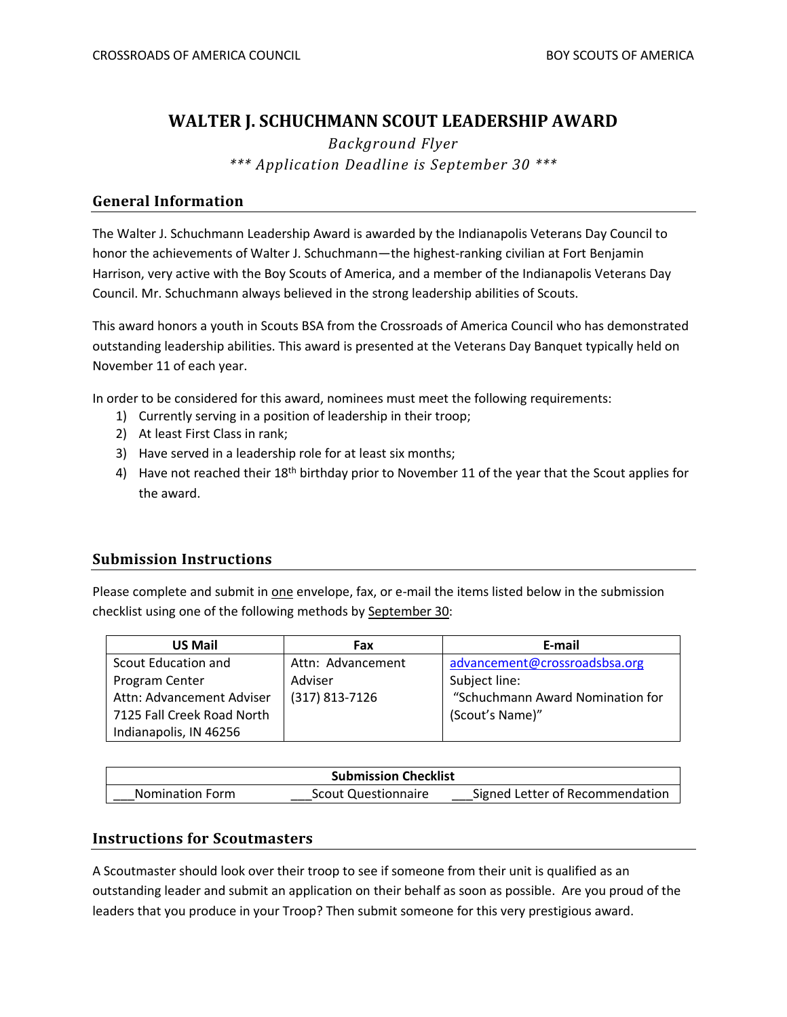# **WALTER J. SCHUCHMANN SCOUT LEADERSHIP AWARD**

*Background Flyer \*\*\* Application Deadline is September 30 \*\*\**

### **General Information**

The Walter J. Schuchmann Leadership Award is awarded by the Indianapolis Veterans Day Council to honor the achievements of Walter J. Schuchmann—the highest-ranking civilian at Fort Benjamin Harrison, very active with the Boy Scouts of America, and a member of the Indianapolis Veterans Day Council. Mr. Schuchmann always believed in the strong leadership abilities of Scouts.

This award honors a youth in Scouts BSA from the Crossroads of America Council who has demonstrated outstanding leadership abilities. This award is presented at the Veterans Day Banquet typically held on November 11 of each year.

In order to be considered for this award, nominees must meet the following requirements:

- 1) Currently serving in a position of leadership in their troop;
- 2) At least First Class in rank;
- 3) Have served in a leadership role for at least six months;
- 4) Have not reached their 18<sup>th</sup> birthday prior to November 11 of the year that the Scout applies for the award.

## **Submission Instructions**

Please complete and submit in one envelope, fax, or e-mail the items listed below in the submission checklist using one of the following methods by September 30:

| <b>US Mail</b>             | Fax               | E-mail                           |
|----------------------------|-------------------|----------------------------------|
| Scout Education and        | Attn: Advancement | advancement@crossroadsbsa.org    |
| Program Center             | Adviser           | Subject line:                    |
| Attn: Advancement Adviser  | $(317)$ 813-7126  | "Schuchmann Award Nomination for |
| 7125 Fall Creek Road North |                   | (Scout's Name)"                  |
| Indianapolis, IN 46256     |                   |                                  |

| <b>Submission Checklist</b> |                            |                                 |  |
|-----------------------------|----------------------------|---------------------------------|--|
| <b>Nomination Form</b>      | <b>Scout Questionnaire</b> | Signed Letter of Recommendation |  |

## **Instructions for Scoutmasters**

A Scoutmaster should look over their troop to see if someone from their unit is qualified as an outstanding leader and submit an application on their behalf as soon as possible. Are you proud of the leaders that you produce in your Troop? Then submit someone for this very prestigious award.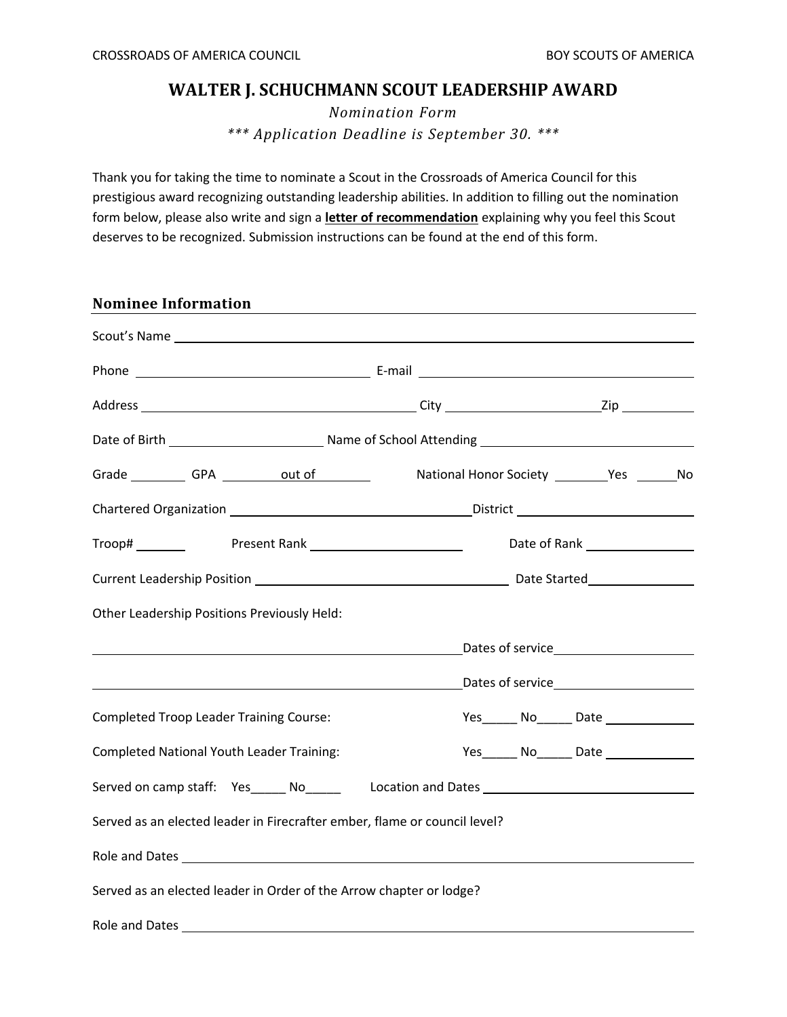## **WALTER J. SCHUCHMANN SCOUT LEADERSHIP AWARD**

*Nomination Form \*\*\* Application Deadline is September 30. \*\*\**

Thank you for taking the time to nominate a Scout in the Crossroads of America Council for this prestigious award recognizing outstanding leadership abilities. In addition to filling out the nomination form below, please also write and sign a **letter of recommendation** explaining why you feel this Scout deserves to be recognized. Submission instructions can be found at the end of this form.

| <b>Nominee Information</b>                                                |                                                                                                     |
|---------------------------------------------------------------------------|-----------------------------------------------------------------------------------------------------|
|                                                                           |                                                                                                     |
|                                                                           |                                                                                                     |
|                                                                           |                                                                                                     |
|                                                                           |                                                                                                     |
|                                                                           |                                                                                                     |
|                                                                           |                                                                                                     |
|                                                                           | Troop# __________    Present Rank ______________________________    Date of Rank __________________ |
|                                                                           |                                                                                                     |
| Other Leadership Positions Previously Held:                               |                                                                                                     |
| <u> 1989 - Johann Barnett, fransk politiker (d. 1989)</u>                 | Dates of service <b>Example 20</b>                                                                  |
|                                                                           |                                                                                                     |
| <b>Completed Troop Leader Training Course:</b>                            | Yes _______ No_______ Date _________________                                                        |
| <b>Completed National Youth Leader Training:</b>                          | Yes________ No_______ Date _________________                                                        |
|                                                                           | Served on camp staff: Yes______ No______ Location and Dates _____________________                   |
| Served as an elected leader in Firecrafter ember, flame or council level? |                                                                                                     |
|                                                                           |                                                                                                     |
| Served as an elected leader in Order of the Arrow chapter or lodge?       |                                                                                                     |
| Role and Dates                                                            |                                                                                                     |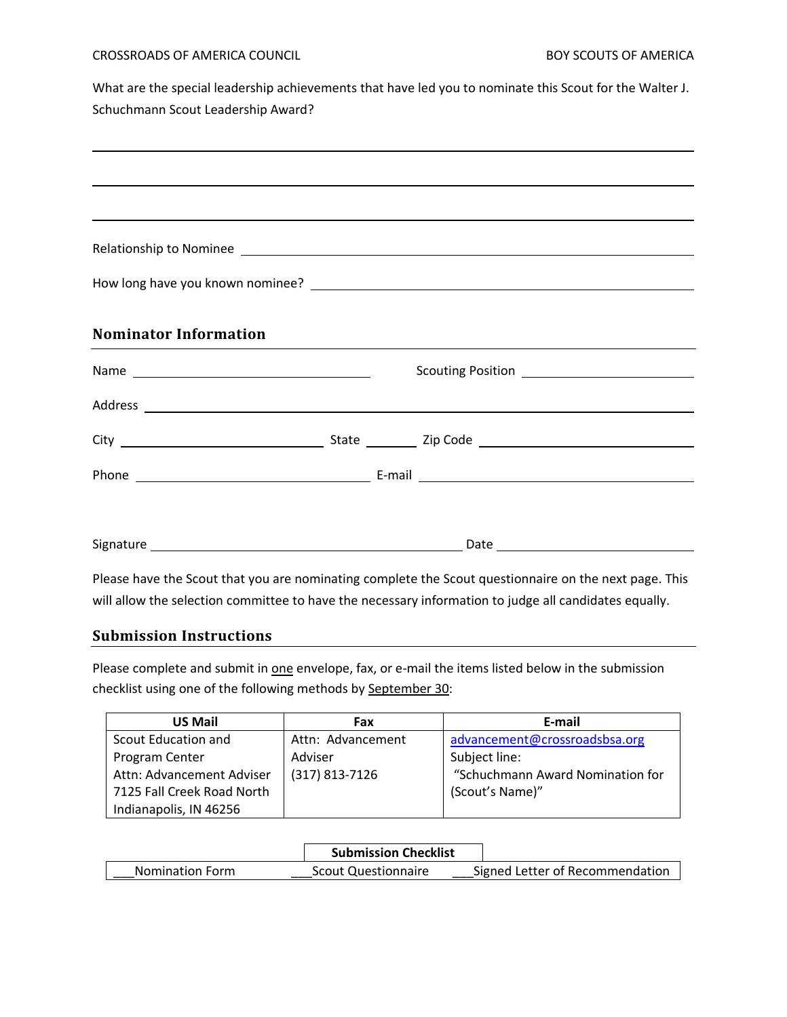#### CROSSROADS OF AMERICA COUNCIL **Example 20 and 20 and 20 and 20 and 20 and 20 and 20 and 20 and 20 and 20 and 20 and 20 and 20 and 20 and 20 and 20 and 20 and 20 and 20 and 20 and 20 and 20 and 20 and 20 and 20 and 20 and 2**

What are the special leadership achievements that have led you to nominate this Scout for the Walter J. Schuchmann Scout Leadership Award?

|                              |  | <u> 2000 - Andrea Andrewski, amerikansk politik (d. 1982)</u>                                                                                                                                                                        |
|------------------------------|--|--------------------------------------------------------------------------------------------------------------------------------------------------------------------------------------------------------------------------------------|
|                              |  |                                                                                                                                                                                                                                      |
|                              |  |                                                                                                                                                                                                                                      |
| <b>Nominator Information</b> |  |                                                                                                                                                                                                                                      |
|                              |  |                                                                                                                                                                                                                                      |
|                              |  | Address <b>experimental contract of the contract of the contract of the contract of the contract of the contract of the contract of the contract of the contract of the contract of the contract of the contract of the contract</b> |
|                              |  |                                                                                                                                                                                                                                      |
|                              |  |                                                                                                                                                                                                                                      |
|                              |  |                                                                                                                                                                                                                                      |
|                              |  | Discontinue the Constitution can acquire the complete the Constitution of the section and the section of This                                                                                                                        |

Please have the Scout that you are nominating complete the Scout questionnaire on the next page. This will allow the selection committee to have the necessary information to judge all candidates equally.

## **Submission Instructions**

Please complete and submit in one envelope, fax, or e-mail the items listed below in the submission checklist using one of the following methods by September 30:

| <b>US Mail</b>             | Fax               | E-mail                           |
|----------------------------|-------------------|----------------------------------|
| Scout Education and        | Attn: Advancement | advancement@crossroadsbsa.org    |
| Program Center             | Adviser           | Subject line:                    |
| Attn: Advancement Adviser  | (317) 813-7126    | "Schuchmann Award Nomination for |
| 7125 Fall Creek Road North |                   | (Scout's Name)"                  |
| Indianapolis, IN 46256     |                   |                                  |

|                        | <b>Submission Checklist</b> |                                 |
|------------------------|-----------------------------|---------------------------------|
| <b>Nomination Form</b> | <b>Scout Questionnaire</b>  | Signed Letter of Recommendation |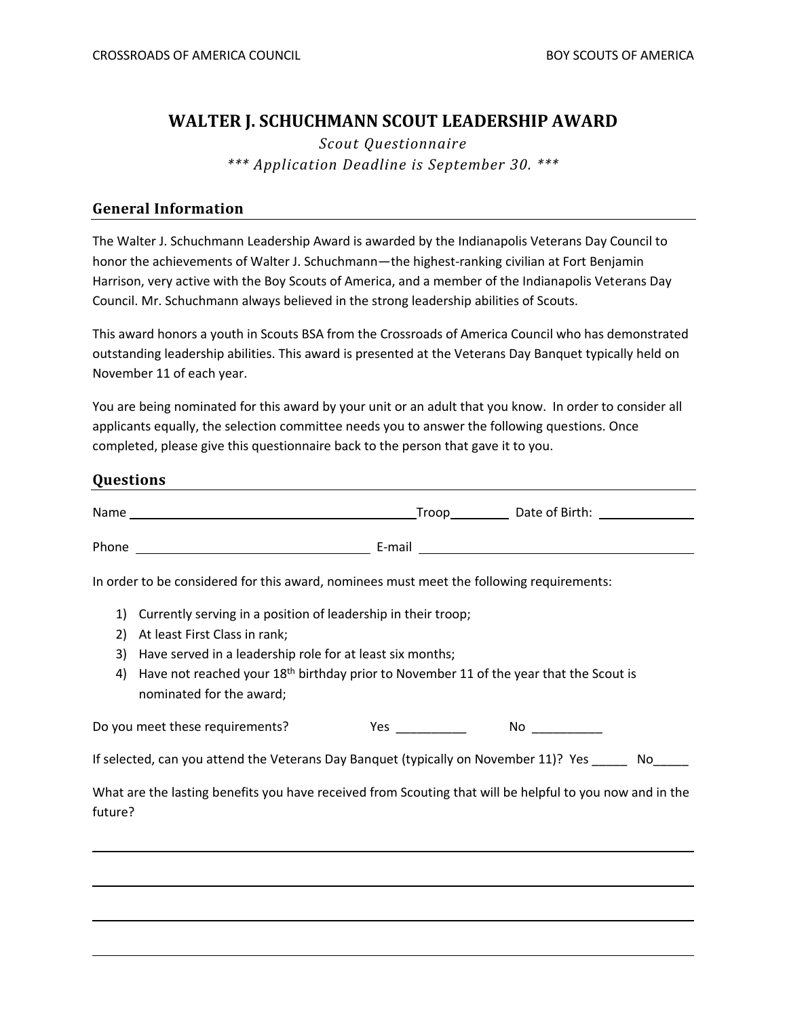## **WALTER J. SCHUCHMANN SCOUT LEADERSHIP AWARD**

*Scout Questionnaire \*\*\* Application Deadline is September 30. \*\*\**

### **General Information**

The Walter J. Schuchmann Leadership Award is awarded by the Indianapolis Veterans Day Council to honor the achievements of Walter J. Schuchmann—the highest-ranking civilian at Fort Benjamin Harrison, very active with the Boy Scouts of America, and a member of the Indianapolis Veterans Day Council. Mr. Schuchmann always believed in the strong leadership abilities of Scouts.

This award honors a youth in Scouts BSA from the Crossroads of America Council who has demonstrated outstanding leadership abilities. This award is presented at the Veterans Day Banquet typically held on November 11 of each year.

You are being nominated for this award by your unit or an adult that you know. In order to consider all applicants equally, the selection committee needs you to answer the following questions. Once completed, please give this questionnaire back to the person that gave it to you.

### **Questions**

|                                                                                                                     | Troop Date of Birth: 1990 Contract Contract Date of Birth:                                                                                                                                                                                                                                    |  |  |  |  |
|---------------------------------------------------------------------------------------------------------------------|-----------------------------------------------------------------------------------------------------------------------------------------------------------------------------------------------------------------------------------------------------------------------------------------------|--|--|--|--|
|                                                                                                                     |                                                                                                                                                                                                                                                                                               |  |  |  |  |
|                                                                                                                     | In order to be considered for this award, nominees must meet the following requirements:                                                                                                                                                                                                      |  |  |  |  |
| 1)<br>2)<br>3)<br>4)                                                                                                | Currently serving in a position of leadership in their troop;<br>At least First Class in rank;<br>Have served in a leadership role for at least six months;<br>Have not reached your 18 <sup>th</sup> birthday prior to November 11 of the year that the Scout is<br>nominated for the award; |  |  |  |  |
|                                                                                                                     | $Yes \_$<br>Do you meet these requirements?<br>No and the second second second second second second second second second second second second second second second second second second second second second second second second second second second second second second s                 |  |  |  |  |
| If selected, can you attend the Veterans Day Banquet (typically on November 11)? Yes ______ No_____                 |                                                                                                                                                                                                                                                                                               |  |  |  |  |
| What are the lasting benefits you have received from Scouting that will be helpful to you now and in the<br>future? |                                                                                                                                                                                                                                                                                               |  |  |  |  |
|                                                                                                                     |                                                                                                                                                                                                                                                                                               |  |  |  |  |
|                                                                                                                     |                                                                                                                                                                                                                                                                                               |  |  |  |  |